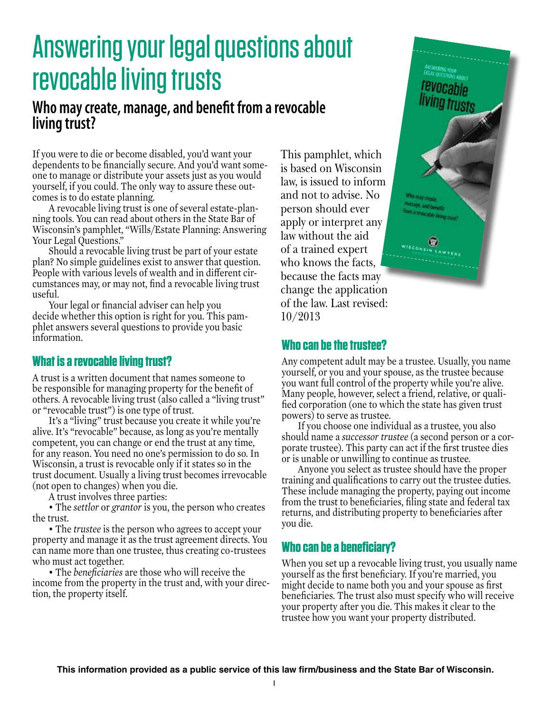# Answering your legal questions about revocable living trusts

# **Who may create, manage, and benefit from a revocable living trust?**

If you were to die or become disabled, you'd want your dependents to be financially secure. And you'd want someone to manage or distribute your assets just as you would yourself, if you could. The only way to assure these outcomes is to do estate planning.

A revocable living trust is one of several estate-planning tools. You can read about others in the State Bar of Wisconsin's pamphlet, "Wills/Estate Planning: Answering Your Legal Questions."

Should a revocable living trust be part of your estate plan? No simple guidelines exist to answer that question. People with various levels of wealth and in different circumstances may, or may not, find a revocable living trust useful.

Your legal or financial adviser can help you decide whether this option is right for you. This pamphlet answers several questions to provide you basic information.

## **What is a revocable living trust?**

A trust is a written document that names someone to be responsible for managing property for the benefit of others. A revocable living trust (also called a "living trust" or "revocable trust") is one type of trust.

It's a "living" trust because you create it while you're alive. It's "revocable" because, as long as you're mentally competent, you can change or end the trust at any time, for any reason. You need no one's permission to do so. In Wisconsin, a trust is revocable only if it states so in the trust document. Usually a living trust becomes irrevocable (not open to changes) when you die.

A trust involves three parties:

• The *settlor* or *grantor* is you, the person who creates the trust.

• The *trustee* is the person who agrees to accept your property and manage it as the trust agreement directs. You can name more than one trustee, thus creating co-trustees who must act together.

• The *beneficiaries* are those who will receive the income from the property in the trust and, with your direction, the property itself.

This pamphlet, which is based on Wisconsin law, is issued to inform and not to advise. No person should ever apply or interpret any law without the aid of a trained expert who knows the facts, because the facts may change the application of the law. Last revised: 10/2013



## **Who can be the trustee?**

Any competent adult may be a trustee. Usually, you name yourself, or you and your spouse, as the trustee because you want full control of the property while you're alive. Many people, however, select a friend, relative, or qualified corporation (one to which the state has given trust powers) to serve as trustee.

If you choose one individual as a trustee, you also should name a *successor trustee* (a second person or a corporate trustee). This party can act if the first trustee dies or is unable or unwilling to continue as trustee.

Anyone you select as trustee should have the proper training and qualifications to carry out the trustee duties. These include managing the property, paying out income from the trust to beneficiaries, filing state and federal tax returns, and distributing property to beneficiaries after you die.

## **Who can be a beneficiary?**

When you set up a revocable living trust, you usually name yourself as the first beneficiary. If you're married, you might decide to name both you and your spouse as first beneficiaries. The trust also must specify who will receive your property after you die. This makes it clear to the trustee how you want your property distributed.

**This information provided as a public service of this law firm/business and the State Bar of Wisconsin.**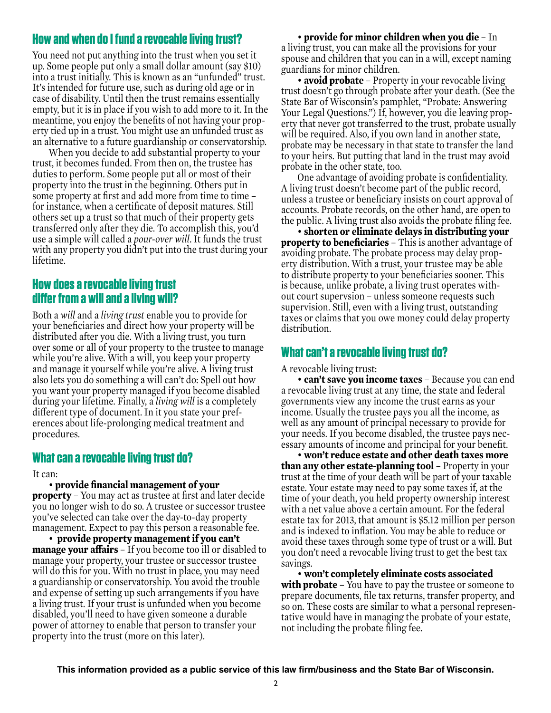## **How and when do I fund a revocable living trust?**

You need not put anything into the trust when you set it up. Some people put only a small dollar amount (say \$10) into a trust initially. This is known as an "unfunded" trust. It's intended for future use, such as during old age or in case of disability. Until then the trust remains essentially empty, but it is in place if you wish to add more to it. In the meantime, you enjoy the benefits of not having your property tied up in a trust. You might use an unfunded trust as an alternative to a future guardianship or conservatorship.

When you decide to add substantial property to your trust, it becomes funded. From then on, the trustee has duties to perform. Some people put all or most of their property into the trust in the beginning. Others put in some property at first and add more from time to time – for instance, when a certificate of deposit matures. Still others set up a trust so that much of their property gets transferred only after they die. To accomplish this, you'd use a simple will called a *pour-over will*. It funds the trust with any property you didn't put into the trust during your lifetime.

## **How does a revocable living trust differ from a will and a living will?**

Both a *will* and a *living trust* enable you to provide for your beneficiaries and direct how your property will be distributed after you die. With a living trust, you turn over some or all of your property to the trustee to manage while you're alive. With a will, you keep your property and manage it yourself while you're alive. A living trust also lets you do something a will can't do: Spell out how you want your property managed if you become disabled during your lifetime. Finally, a *living will* is a completely different type of document. In it you state your preferences about life-prolonging medical treatment and procedures.

### **What can a revocable living trust do?**

#### It can:

#### • **provide financial management of your**

**property** – You may act as trustee at first and later decide you no longer wish to do so. A trustee or successor trustee you've selected can take over the day-to-day property management. Expect to pay this person a reasonable fee.

• **provide property management if you can't manage your affairs** – If you become too ill or disabled to manage your property, your trustee or successor trustee will do this for you. With no trust in place, you may need a guardianship or conservatorship. You avoid the trouble and expense of setting up such arrangements if you have a living trust. If your trust is unfunded when you become disabled, you'll need to have given someone a durable power of attorney to enable that person to transfer your property into the trust (more on this later).

• **provide for minor children when you die** – In a living trust, you can make all the provisions for your spouse and children that you can in a will, except naming guardians for minor children.

• **avoid probate** – Property in your revocable living trust doesn't go through probate after your death. (See the State Bar of Wisconsin's pamphlet, "Probate: Answering Your Legal Questions.") If, however, you die leaving property that never got transferred to the trust, probate usually will be required. Also, if you own land in another state, probate may be necessary in that state to transfer the land to your heirs. But putting that land in the trust may avoid probate in the other state, too.

One advantage of avoiding probate is confidentiality. A living trust doesn't become part of the public record, unless a trustee or beneficiary insists on court approval of accounts. Probate records, on the other hand, are open to the public. A living trust also avoids the probate filing fee.

• **shorten or eliminate delays in distributing your property to beneficiaries** – This is another advantage of avoiding probate. The probate process may delay property distribution. With a trust, your trustee may be able to distribute property to your beneficiaries sooner. This is because, unlike probate, a living trust operates without court supervsion – unless someone requests such supervision. Still, even with a living trust, outstanding taxes or claims that you owe money could delay property distribution.

#### **What can't a revocable living trust do?**

A revocable living trust:

• **can't save you income taxes** – Because you can end a revocable living trust at any time, the state and federal governments view any income the trust earns as your income. Usually the trustee pays you all the income, as well as any amount of principal necessary to provide for your needs. If you become disabled, the trustee pays necessary amounts of income and principal for your benefit.

• **won't reduce estate and other death taxes more than any other estate-planning tool** – Property in your trust at the time of your death will be part of your taxable estate. Your estate may need to pay some taxes if, at the time of your death, you held property ownership interest with a net value above a certain amount. For the federal estate tax for 2013, that amount is \$5.12 million per person and is indexed to inflation. You may be able to reduce or avoid these taxes through some type of trust or a will. But you don't need a revocable living trust to get the best tax savings.

• **won't completely eliminate costs associated with probate** – You have to pay the trustee or someone to prepare documents, file tax returns, transfer property, and so on. These costs are similar to what a personal representative would have in managing the probate of your estate, not including the probate filing fee.

**This information provided as a public service of this law firm/business and the State Bar of Wisconsin.**